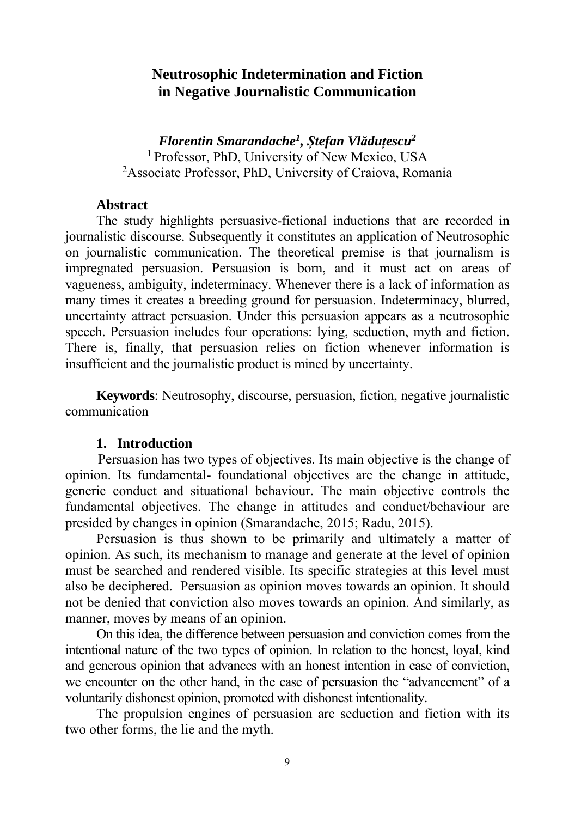# **Neutrosophic Indetermination and Fiction in Negative Journalistic Communication**

*Florentin Smarandache<sup>1</sup> , Ștefan Vlăduțescu2*  1 Professor, PhD, University of New Mexico, USA 2 Associate Professor, PhD, University of Craiova, Romania

### **Abstract**

The study highlights persuasive-fictional inductions that are recorded in journalistic discourse. Subsequently it constitutes an application of Neutrosophic on journalistic communication. The theoretical premise is that journalism is impregnated persuasion. Persuasion is born, and it must act on areas of vagueness, ambiguity, indeterminacy. Whenever there is a lack of information as many times it creates a breeding ground for persuasion. Indeterminacy, blurred, uncertainty attract persuasion. Under this persuasion appears as a neutrosophic speech. Persuasion includes four operations: lying, seduction, myth and fiction. There is, finally, that persuasion relies on fiction whenever information is insufficient and the journalistic product is mined by uncertainty.

**Keywords**: Neutrosophy, discourse, persuasion, fiction, negative journalistic communication

### **1. Introduction**

 Persuasion has two types of objectives. Its main objective is the change of opinion. Its fundamental- foundational objectives are the change in attitude, generic conduct and situational behaviour. The main objective controls the fundamental objectives. The change in attitudes and conduct/behaviour are presided by changes in opinion (Smarandache, 2015; Radu, 2015).

Persuasion is thus shown to be primarily and ultimately a matter of opinion. As such, its mechanism to manage and generate at the level of opinion must be searched and rendered visible. Its specific strategies at this level must also be deciphered. Persuasion as opinion moves towards an opinion. It should not be denied that conviction also moves towards an opinion. And similarly, as manner, moves by means of an opinion.

On this idea, the difference between persuasion and conviction comes from the intentional nature of the two types of opinion. In relation to the honest, loyal, kind and generous opinion that advances with an honest intention in case of conviction, we encounter on the other hand, in the case of persuasion the "advancement" of a voluntarily dishonest opinion, promoted with dishonest intentionality.

The propulsion engines of persuasion are seduction and fiction with its two other forms, the lie and the myth.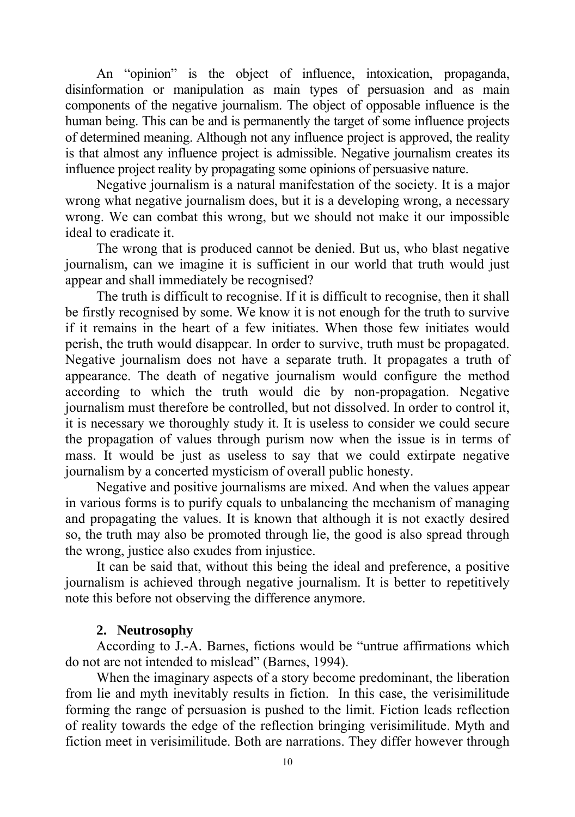An "opinion" is the object of influence, intoxication, propaganda, disinformation or manipulation as main types of persuasion and as main components of the negative journalism. The object of opposable influence is the human being. This can be and is permanently the target of some influence projects of determined meaning. Although not any influence project is approved, the reality is that almost any influence project is admissible. Negative journalism creates its influence project reality by propagating some opinions of persuasive nature.

Negative journalism is a natural manifestation of the society. It is a major wrong what negative journalism does, but it is a developing wrong, a necessary wrong. We can combat this wrong, but we should not make it our impossible ideal to eradicate it.

The wrong that is produced cannot be denied. But us, who blast negative journalism, can we imagine it is sufficient in our world that truth would just appear and shall immediately be recognised?

The truth is difficult to recognise. If it is difficult to recognise, then it shall be firstly recognised by some. We know it is not enough for the truth to survive if it remains in the heart of a few initiates. When those few initiates would perish, the truth would disappear. In order to survive, truth must be propagated. Negative journalism does not have a separate truth. It propagates a truth of appearance. The death of negative journalism would configure the method according to which the truth would die by non-propagation. Negative journalism must therefore be controlled, but not dissolved. In order to control it, it is necessary we thoroughly study it. It is useless to consider we could secure the propagation of values through purism now when the issue is in terms of mass. It would be just as useless to say that we could extirpate negative journalism by a concerted mysticism of overall public honesty.

Negative and positive journalisms are mixed. And when the values appear in various forms is to purify equals to unbalancing the mechanism of managing and propagating the values. It is known that although it is not exactly desired so, the truth may also be promoted through lie, the good is also spread through the wrong, justice also exudes from injustice.

It can be said that, without this being the ideal and preference, a positive journalism is achieved through negative journalism. It is better to repetitively note this before not observing the difference anymore.

## **2. Neutrosophy**

According to J.-A. Barnes, fictions would be "untrue affirmations which do not are not intended to mislead" (Barnes, 1994).

When the imaginary aspects of a story become predominant, the liberation from lie and myth inevitably results in fiction. In this case, the verisimilitude forming the range of persuasion is pushed to the limit. Fiction leads reflection of reality towards the edge of the reflection bringing verisimilitude. Myth and fiction meet in verisimilitude. Both are narrations. They differ however through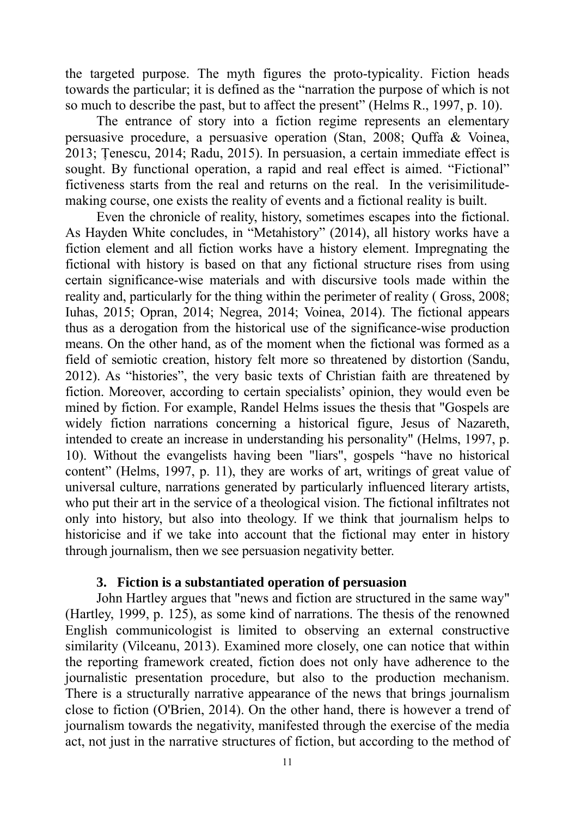the targeted purpose. The myth figures the proto-typicality. Fiction heads towards the particular; it is defined as the "narration the purpose of which is not so much to describe the past, but to affect the present" (Helms R., 1997, p. 10).

The entrance of story into a fiction regime represents an elementary persuasive procedure, a persuasive operation (Stan, 2008; Quffa & Voinea, 2013; Țenescu, 2014; Radu, 2015). In persuasion, a certain immediate effect is sought. By functional operation, a rapid and real effect is aimed. "Fictional" fictiveness starts from the real and returns on the real. In the verisimilitudemaking course, one exists the reality of events and a fictional reality is built.

Even the chronicle of reality, history, sometimes escapes into the fictional. As Hayden White concludes, in "Metahistory" (2014), all history works have a fiction element and all fiction works have a history element. Impregnating the fictional with history is based on that any fictional structure rises from using certain significance-wise materials and with discursive tools made within the reality and, particularly for the thing within the perimeter of reality ( Gross, 2008; Iuhas, 2015; Opran, 2014; Negrea, 2014; Voinea, 2014). The fictional appears thus as a derogation from the historical use of the significance-wise production means. On the other hand, as of the moment when the fictional was formed as a field of semiotic creation, history felt more so threatened by distortion (Sandu, 2012). As "histories", the very basic texts of Christian faith are threatened by fiction. Moreover, according to certain specialists' opinion, they would even be mined by fiction. For example, Randel Helms issues the thesis that "Gospels are widely fiction narrations concerning a historical figure, Jesus of Nazareth, intended to create an increase in understanding his personality" (Helms, 1997, p. 10). Without the evangelists having been "liars", gospels "have no historical content" (Helms, 1997, p. 11), they are works of art, writings of great value of universal culture, narrations generated by particularly influenced literary artists, who put their art in the service of a theological vision. The fictional infiltrates not only into history, but also into theology. If we think that journalism helps to historicise and if we take into account that the fictional may enter in history through journalism, then we see persuasion negativity better.

### **3. Fiction is a substantiated operation of persuasion**

John Hartley argues that "news and fiction are structured in the same way" (Hartley, 1999, p. 125), as some kind of narrations. The thesis of the renowned English communicologist is limited to observing an external constructive similarity (Vilceanu, 2013). Examined more closely, one can notice that within the reporting framework created, fiction does not only have adherence to the journalistic presentation procedure, but also to the production mechanism. There is a structurally narrative appearance of the news that brings journalism close to fiction (O'Brien, 2014). On the other hand, there is however a trend of journalism towards the negativity, manifested through the exercise of the media act, not just in the narrative structures of fiction, but according to the method of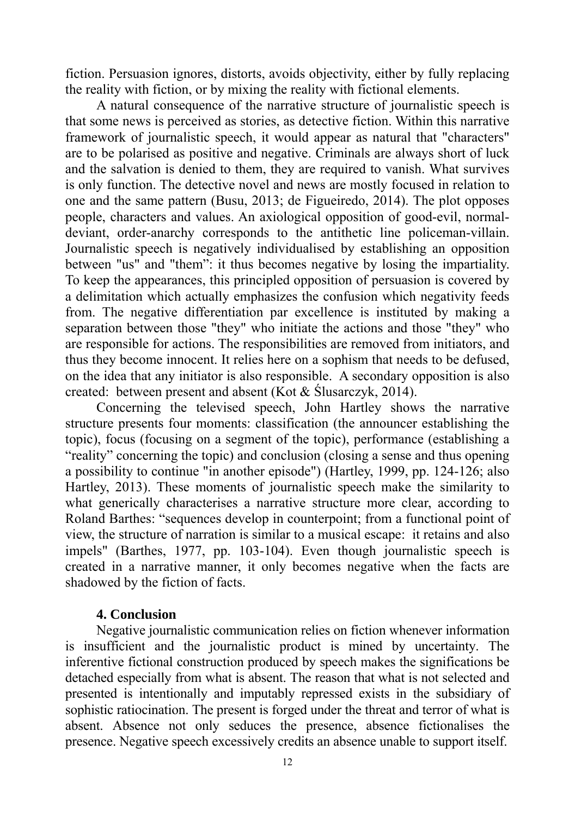fiction. Persuasion ignores, distorts, avoids objectivity, either by fully replacing the reality with fiction, or by mixing the reality with fictional elements.

A natural consequence of the narrative structure of journalistic speech is that some news is perceived as stories, as detective fiction. Within this narrative framework of journalistic speech, it would appear as natural that "characters" are to be polarised as positive and negative. Criminals are always short of luck and the salvation is denied to them, they are required to vanish. What survives is only function. The detective novel and news are mostly focused in relation to one and the same pattern (Busu, 2013; de Figueiredo, 2014). The plot opposes people, characters and values. An axiological opposition of good-evil, normaldeviant, order-anarchy corresponds to the antithetic line policeman-villain. Journalistic speech is negatively individualised by establishing an opposition between "us" and "them": it thus becomes negative by losing the impartiality. To keep the appearances, this principled opposition of persuasion is covered by a delimitation which actually emphasizes the confusion which negativity feeds from. The negative differentiation par excellence is instituted by making a separation between those "they" who initiate the actions and those "they" who are responsible for actions. The responsibilities are removed from initiators, and thus they become innocent. It relies here on a sophism that needs to be defused, on the idea that any initiator is also responsible. A secondary opposition is also created: between present and absent (Kot & Ślusarczyk, 2014).

Concerning the televised speech, John Hartley shows the narrative structure presents four moments: classification (the announcer establishing the topic), focus (focusing on a segment of the topic), performance (establishing a "reality" concerning the topic) and conclusion (closing a sense and thus opening a possibility to continue "in another episode") (Hartley, 1999, pp. 124-126; also Hartley, 2013). These moments of journalistic speech make the similarity to what generically characterises a narrative structure more clear, according to Roland Barthes: "sequences develop in counterpoint; from a functional point of view, the structure of narration is similar to a musical escape: it retains and also impels" (Barthes, 1977, pp. 103-104). Even though journalistic speech is created in a narrative manner, it only becomes negative when the facts are shadowed by the fiction of facts.

### **4. Conclusion**

Negative journalistic communication relies on fiction whenever information is insufficient and the journalistic product is mined by uncertainty. The inferentive fictional construction produced by speech makes the significations be detached especially from what is absent. The reason that what is not selected and presented is intentionally and imputably repressed exists in the subsidiary of sophistic ratiocination. The present is forged under the threat and terror of what is absent. Absence not only seduces the presence, absence fictionalises the presence. Negative speech excessively credits an absence unable to support itself.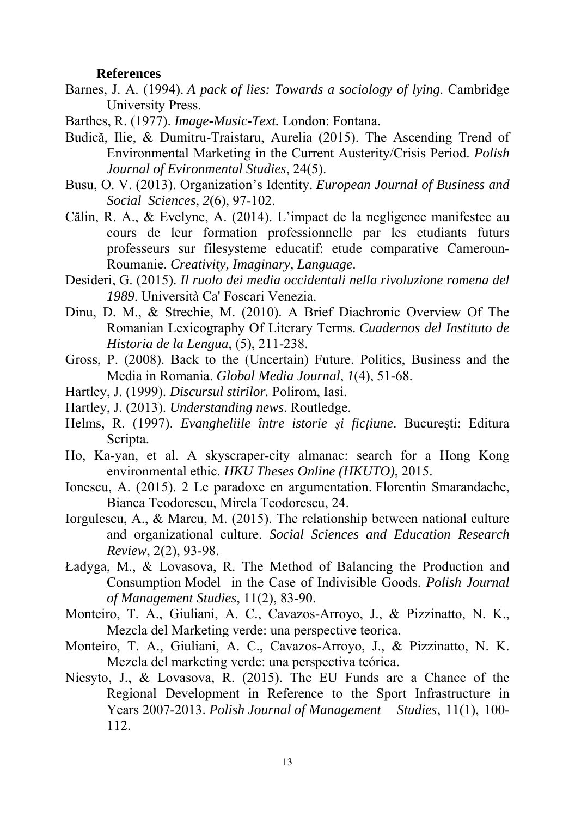#### **References**

- Barnes, J. A. (1994). *A pack of lies: Towards a sociology of lying*. Cambridge University Press.
- Barthes, R. (1977). *Image-Music-Text.* London: Fontana.
- Budică, Ilie, & Dumitru-Traistaru, Aurelia (2015). The Ascending Trend of Environmental Marketing in the Current Austerity/Crisis Period. *Polish Journal of Evironmental Studies*, 24(5).
- Busu, O. V. (2013). Organization's Identity. *European Journal of Business and Social Sciences*, *2*(6), 97-102.
- Călin, R. A., & Evelyne, A. (2014). L'impact de la negligence manifestee au cours de leur formation professionnelle par les etudiants futurs professeurs sur filesysteme educatif: etude comparative Cameroun- Roumanie. *Creativity, Imaginary, Language*.
- Desideri, G. (2015). *Il ruolo dei media occidentali nella rivoluzione romena del 1989*. Università Ca' Foscari Venezia.
- Dinu, D. M., & Strechie, M. (2010). A Brief Diachronic Overview Of The Romanian Lexicography Of Literary Terms. *Cuadernos del Instituto de Historia de la Lengua*, (5), 211-238.
- Gross, P. (2008). Back to the (Uncertain) Future. Politics, Business and the Media in Romania. *Global Media Journal*, *1*(4), 51-68.
- Hartley, J. (1999). *Discursul stirilor.* Polirom, Iasi.
- Hartley, J. (2013). *Understanding news*. Routledge.
- Helms, R. (1997). *Evangheliile între istorie şi ficţiune*. Bucureşti: Editura Scripta.
- Ho, Ka-yan, et al. A skyscraper-city almanac: search for a Hong Kong environmental ethic. *HKU Theses Online (HKUTO)*, 2015.
- Ionescu, A. (2015). 2 Le paradoxe en argumentation. Florentin Smarandache, Bianca Teodorescu, Mirela Teodorescu, 24.
- Iorgulescu, A., & Marcu, M. (2015). The relationship between national culture and organizational culture. *Social Sciences and Education Research Review*, 2(2), 93-98.
- Ładyga, M., & Lovasova, R. The Method of Balancing the Production and Consumption Model in the Case of Indivisible Goods. *Polish Journal of Management Studies*, 11(2), 83-90.
- Monteiro, T. A., Giuliani, A. C., Cavazos-Arroyo, J., & Pizzinatto, N. K., Mezcla del Marketing verde: una perspective teorica.
- Monteiro, T. A., Giuliani, A. C., Cavazos-Arroyo, J., & Pizzinatto, N. K. Mezcla del marketing verde: una perspectiva teórica.
- Niesyto, J., & Lovasova, R. (2015). The EU Funds are a Chance of the Regional Development in Reference to the Sport Infrastructure in Years 2007-2013. *Polish Journal of Management Studies*, 11(1), 100- 112.